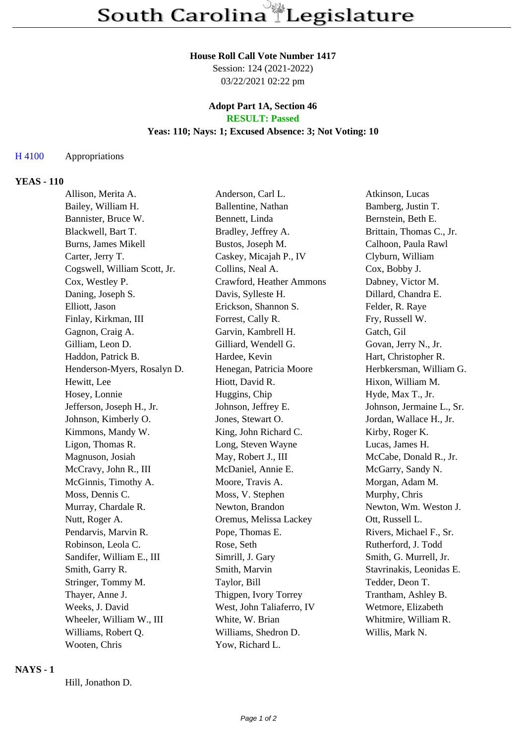#### **House Roll Call Vote Number 1417**

Session: 124 (2021-2022) 03/22/2021 02:22 pm

### **Adopt Part 1A, Section 46 RESULT: Passed**

# **Yeas: 110; Nays: 1; Excused Absence: 3; Not Voting: 10**

### H 4100 Appropriations

### **YEAS - 110**

| Allison, Merita A.           | Anderson, Carl L.         | Atkinson, Lucas           |
|------------------------------|---------------------------|---------------------------|
| Bailey, William H.           | Ballentine, Nathan        | Bamberg, Justin T.        |
| Bannister, Bruce W.          | Bennett, Linda            | Bernstein, Beth E.        |
| Blackwell, Bart T.           | Bradley, Jeffrey A.       | Brittain, Thomas C., Jr.  |
| <b>Burns, James Mikell</b>   | Bustos, Joseph M.         | Calhoon, Paula Rawl       |
| Carter, Jerry T.             | Caskey, Micajah P., IV    | Clyburn, William          |
| Cogswell, William Scott, Jr. | Collins, Neal A.          | Cox, Bobby J.             |
| Cox, Westley P.              | Crawford, Heather Ammons  | Dabney, Victor M.         |
| Daning, Joseph S.            | Davis, Sylleste H.        | Dillard, Chandra E.       |
| Elliott, Jason               | Erickson, Shannon S.      | Felder, R. Raye           |
| Finlay, Kirkman, III         | Forrest, Cally R.         | Fry, Russell W.           |
| Gagnon, Craig A.             | Garvin, Kambrell H.       | Gatch, Gil                |
| Gilliam, Leon D.             | Gilliard, Wendell G.      | Govan, Jerry N., Jr.      |
| Haddon, Patrick B.           | Hardee, Kevin             | Hart, Christopher R.      |
| Henderson-Myers, Rosalyn D.  | Henegan, Patricia Moore   | Herbkersman, William G.   |
| Hewitt, Lee                  | Hiott, David R.           | Hixon, William M.         |
| Hosey, Lonnie                | Huggins, Chip             | Hyde, Max T., Jr.         |
| Jefferson, Joseph H., Jr.    | Johnson, Jeffrey E.       | Johnson, Jermaine L., Sr. |
| Johnson, Kimberly O.         | Jones, Stewart O.         | Jordan, Wallace H., Jr.   |
| Kimmons, Mandy W.            | King, John Richard C.     | Kirby, Roger K.           |
| Ligon, Thomas R.             | Long, Steven Wayne        | Lucas, James H.           |
| Magnuson, Josiah             | May, Robert J., III       | McCabe, Donald R., Jr.    |
| McCravy, John R., III        | McDaniel, Annie E.        | McGarry, Sandy N.         |
| McGinnis, Timothy A.         | Moore, Travis A.          | Morgan, Adam M.           |
| Moss, Dennis C.              | Moss, V. Stephen          | Murphy, Chris             |
| Murray, Chardale R.          | Newton, Brandon           | Newton, Wm. Weston J.     |
| Nutt, Roger A.               | Oremus, Melissa Lackey    | Ott, Russell L.           |
| Pendarvis, Marvin R.         | Pope, Thomas E.           | Rivers, Michael F., Sr.   |
| Robinson, Leola C.           | Rose, Seth                | Rutherford, J. Todd       |
| Sandifer, William E., III    | Simrill, J. Gary          | Smith, G. Murrell, Jr.    |
| Smith, Garry R.              | Smith, Marvin             | Stavrinakis, Leonidas E.  |
| Stringer, Tommy M.           | Taylor, Bill              | Tedder, Deon T.           |
| Thayer, Anne J.              | Thigpen, Ivory Torrey     | Trantham, Ashley B.       |
| Weeks, J. David              | West, John Taliaferro, IV | Wetmore, Elizabeth        |
| Wheeler, William W., III     | White, W. Brian           | Whitmire, William R.      |
| Williams, Robert Q.          | Williams, Shedron D.      | Willis, Mark N.           |
| Wooten, Chris                | Yow, Richard L.           |                           |

#### **NAYS - 1**

Hill, Jonathon D.